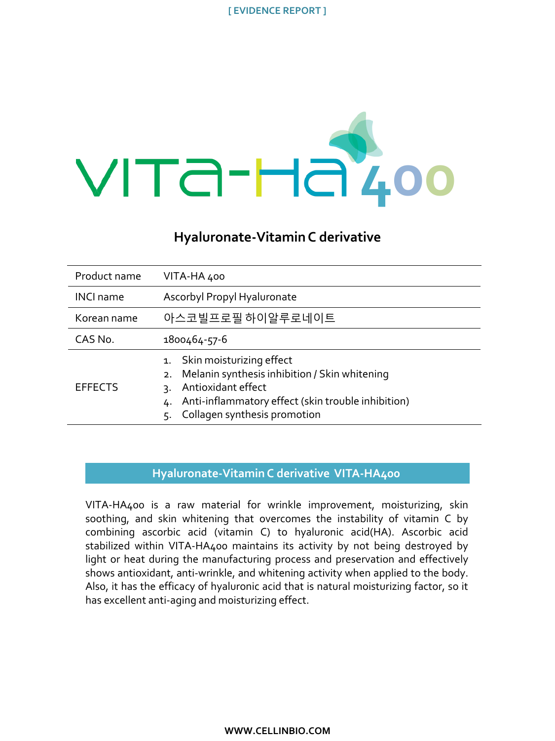

# **Hyaluronate-Vitamin C derivative**

| Product name     | VITA-HA 400                                                                                                                                                                                                |
|------------------|------------------------------------------------------------------------------------------------------------------------------------------------------------------------------------------------------------|
| <b>INCI name</b> | Ascorbyl Propyl Hyaluronate                                                                                                                                                                                |
| Korean name      | 아스코빌프로필 하이알루로네이트                                                                                                                                                                                           |
| CAS No.          | 1800464-57-6                                                                                                                                                                                               |
| <b>EFFECTS</b>   | 1. Skin moisturizing effect<br>Melanin synthesis inhibition / Skin whitening<br>2.<br>Antioxidant effect<br>٦.<br>Anti-inflammatory effect (skin trouble inhibition)<br>Collagen synthesis promotion<br>5. |

## **Hyaluronate-Vitamin C derivative VITA-HA400**

VITA-HA400 is a raw material for wrinkle improvement, moisturizing, skin soothing, and skin whitening that overcomes the instability of vitamin C by combining ascorbic acid (vitamin C) to hyaluronic acid(HA). Ascorbic acid stabilized within VITA-HA400 maintains its activity by not being destroyed by light or heat during the manufacturing process and preservation and effectively shows antioxidant, anti-wrinkle, and whitening activity when applied to the body. Also, it has the efficacy of hyaluronic acid that is natural moisturizing factor, so it has excellent anti-aging and moisturizing effect.